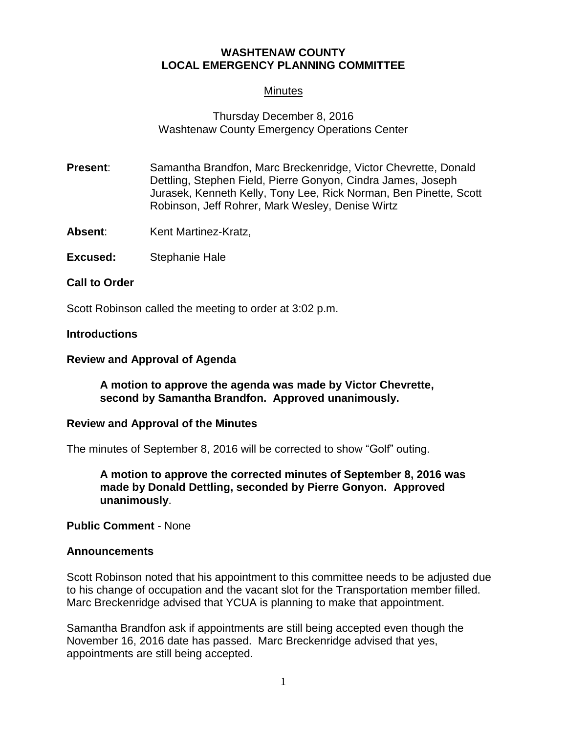# **WASHTENAW COUNTY LOCAL EMERGENCY PLANNING COMMITTEE**

# **Minutes**

# Thursday December 8, 2016 Washtenaw County Emergency Operations Center

- **Present:** Samantha Brandfon, Marc Breckenridge, Victor Chevrette, Donald Dettling, Stephen Field, Pierre Gonyon, Cindra James, Joseph Jurasek, Kenneth Kelly, Tony Lee, Rick Norman, Ben Pinette, Scott Robinson, Jeff Rohrer, Mark Wesley, Denise Wirtz
- Absent: Kent Martinez-Kratz,
- **Excused:** Stephanie Hale

**Call to Order** 

Scott Robinson called the meeting to order at 3:02 p.m.

### **Introductions**

### **Review and Approval of Agenda**

### **A motion to approve the agenda was made by Victor Chevrette, second by Samantha Brandfon. Approved unanimously.**

#### **Review and Approval of the Minutes**

The minutes of September 8, 2016 will be corrected to show "Golf" outing.

**A motion to approve the corrected minutes of September 8, 2016 was made by Donald Dettling, seconded by Pierre Gonyon. Approved unanimously**.

#### **Public Comment** - None

#### **Announcements**

Scott Robinson noted that his appointment to this committee needs to be adjusted due to his change of occupation and the vacant slot for the Transportation member filled. Marc Breckenridge advised that YCUA is planning to make that appointment.

Samantha Brandfon ask if appointments are still being accepted even though the November 16, 2016 date has passed. Marc Breckenridge advised that yes, appointments are still being accepted.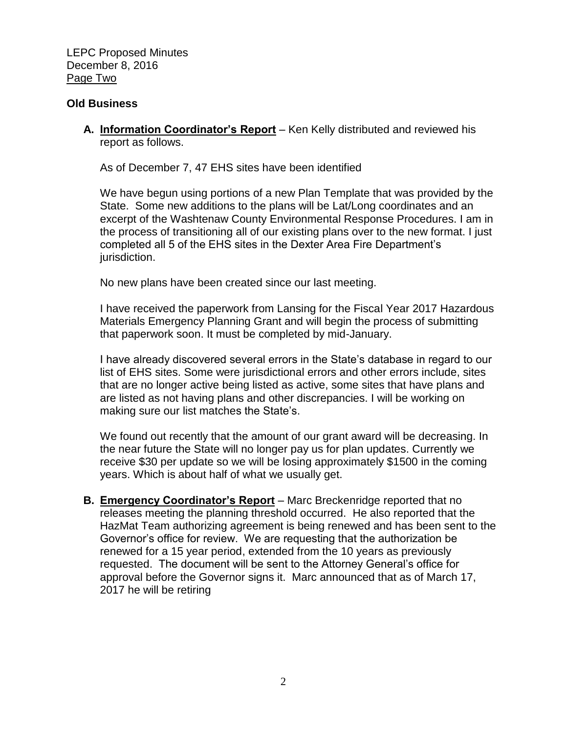LEPC Proposed Minutes December 8, 2016 Page Two

#### **Old Business**

**A. Information Coordinator's Report** – Ken Kelly distributed and reviewed his report as follows.

As of December 7, 47 EHS sites have been identified

We have begun using portions of a new Plan Template that was provided by the State. Some new additions to the plans will be Lat/Long coordinates and an excerpt of the Washtenaw County Environmental Response Procedures. I am in the process of transitioning all of our existing plans over to the new format. I just completed all 5 of the EHS sites in the Dexter Area Fire Department's jurisdiction.

No new plans have been created since our last meeting.

I have received the paperwork from Lansing for the Fiscal Year 2017 Hazardous Materials Emergency Planning Grant and will begin the process of submitting that paperwork soon. It must be completed by mid-January.

I have already discovered several errors in the State's database in regard to our list of EHS sites. Some were jurisdictional errors and other errors include, sites that are no longer active being listed as active, some sites that have plans and are listed as not having plans and other discrepancies. I will be working on making sure our list matches the State's.

We found out recently that the amount of our grant award will be decreasing. In the near future the State will no longer pay us for plan updates. Currently we receive \$30 per update so we will be losing approximately \$1500 in the coming years. Which is about half of what we usually get.

**B. Emergency Coordinator's Report** – Marc Breckenridge reported that no releases meeting the planning threshold occurred. He also reported that the HazMat Team authorizing agreement is being renewed and has been sent to the Governor's office for review. We are requesting that the authorization be renewed for a 15 year period, extended from the 10 years as previously requested. The document will be sent to the Attorney General's office for approval before the Governor signs it. Marc announced that as of March 17, 2017 he will be retiring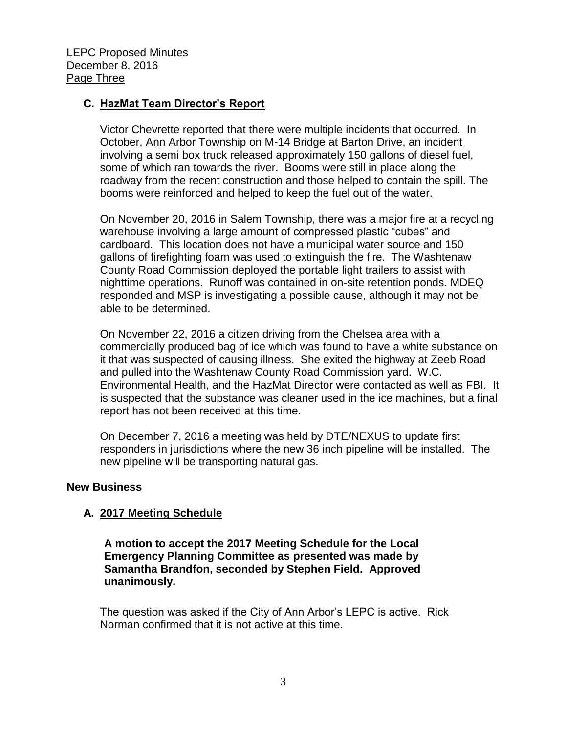LEPC Proposed Minutes December 8, 2016 Page Three

### **C. HazMat Team Director's Report**

Victor Chevrette reported that there were multiple incidents that occurred. In October, Ann Arbor Township on M-14 Bridge at Barton Drive, an incident involving a semi box truck released approximately 150 gallons of diesel fuel, some of which ran towards the river. Booms were still in place along the roadway from the recent construction and those helped to contain the spill. The booms were reinforced and helped to keep the fuel out of the water.

On November 20, 2016 in Salem Township, there was a major fire at a recycling warehouse involving a large amount of compressed plastic "cubes" and cardboard. This location does not have a municipal water source and 150 gallons of firefighting foam was used to extinguish the fire. The Washtenaw County Road Commission deployed the portable light trailers to assist with nighttime operations. Runoff was contained in on-site retention ponds. MDEQ responded and MSP is investigating a possible cause, although it may not be able to be determined.

On November 22, 2016 a citizen driving from the Chelsea area with a commercially produced bag of ice which was found to have a white substance on it that was suspected of causing illness. She exited the highway at Zeeb Road and pulled into the Washtenaw County Road Commission yard. W.C. Environmental Health, and the HazMat Director were contacted as well as FBI. It is suspected that the substance was cleaner used in the ice machines, but a final report has not been received at this time.

On December 7, 2016 a meeting was held by DTE/NEXUS to update first responders in jurisdictions where the new 36 inch pipeline will be installed. The new pipeline will be transporting natural gas.

#### **New Business**

#### **A. 2017 Meeting Schedule**

**A motion to accept the 2017 Meeting Schedule for the Local Emergency Planning Committee as presented was made by Samantha Brandfon, seconded by Stephen Field. Approved unanimously.**

The question was asked if the City of Ann Arbor's LEPC is active. Rick Norman confirmed that it is not active at this time.